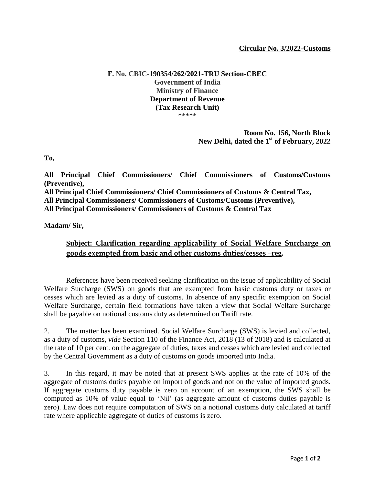## **Circular No. 3/2022-Customs**

## **F. No. CBIC-190354/262/2021-TRU Section-CBEC Government of India Ministry of Finance Department of Revenue (Tax Research Unit)** \*\*\*\*\*

## **Room No. 156, North Block New Delhi, dated the 1 st of February, 2022**

**To,** 

**All Principal Chief Commissioners/ Chief Commissioners of Customs/Customs (Preventive), All Principal Chief Commissioners/ Chief Commissioners of Customs & Central Tax, All Principal Commissioners/ Commissioners of Customs/Customs (Preventive), All Principal Commissioners/ Commissioners of Customs & Central Tax** 

**Madam/ Sir,** 

## **Subject: Clarification regarding applicability of Social Welfare Surcharge on goods exempted from basic and other customs duties/cesses –reg.**

References have been received seeking clarification on the issue of applicability of Social Welfare Surcharge (SWS) on goods that are exempted from basic customs duty or taxes or cesses which are levied as a duty of customs. In absence of any specific exemption on Social Welfare Surcharge, certain field formations have taken a view that Social Welfare Surcharge shall be payable on notional customs duty as determined on Tariff rate.

2. The matter has been examined. Social Welfare Surcharge (SWS) is levied and collected, as a duty of customs, *vide* Section 110 of the Finance Act, 2018 (13 of 2018) and is calculated at the rate of 10 per cent. on the aggregate of duties, taxes and cesses which are levied and collected by the Central Government as a duty of customs on goods imported into India.

3. In this regard, it may be noted that at present SWS applies at the rate of 10% of the aggregate of customs duties payable on import of goods and not on the value of imported goods. If aggregate customs duty payable is zero on account of an exemption, the SWS shall be computed as 10% of value equal to 'Nil' (as aggregate amount of customs duties payable is zero). Law does not require computation of SWS on a notional customs duty calculated at tariff rate where applicable aggregate of duties of customs is zero.